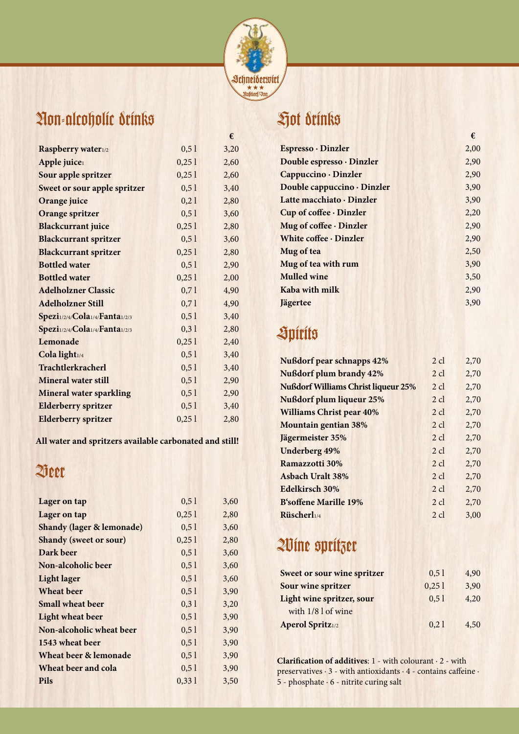

### Non-alcoholic drinks

|                                     |       | €    |
|-------------------------------------|-------|------|
| Raspberry water1/2                  | 0,51  | 3,20 |
| Apple juice1                        | 0,251 | 2,60 |
| Sour apple spritzer                 | 0,251 | 2,60 |
| <b>Sweet or sour apple spritzer</b> | 0,51  | 3,40 |
| Orange juice                        | 0,21  | 2,80 |
| <b>Orange spritzer</b>              | 0, 51 | 3,60 |
| <b>Blackcurrant juice</b>           | 0,251 | 2,80 |
| <b>Blackcurrant spritzer</b>        | 0, 51 | 3,60 |
| <b>Blackcurrant spritzer</b>        | 0,251 | 2,80 |
| <b>Bottled water</b>                | 0, 51 | 2,90 |
| <b>Bottled water</b>                | 0,251 | 2,00 |
| <b>Adelholzner Classic</b>          | 0,71  | 4,90 |
| <b>Adelholzner Still</b>            | 0,71  | 4,90 |
| Spezi1/2/4/Cola1/4/Fanta1/2/3       | 0, 51 | 3,40 |
| Spezi1/2/4/Cola1/4/Fanta1/2/3       | 0,31  | 2,80 |
| Lemonade                            | 0,251 | 2,40 |
| Cola light1/4                       | 0, 51 | 3,40 |
| <b>Trachtlerkracherl</b>            | 0, 51 | 3,40 |
| <b>Mineral water still</b>          | 0, 51 | 2,90 |
| <b>Mineral water sparkling</b>      | 0, 51 | 2,90 |
| <b>Elderberry spritzer</b>          | 0, 51 | 3,40 |
| <b>Elderberry spritzer</b>          | 0,251 | 2,80 |

**All water and spritzers available carbonated and still!**

#### Beer

| Lager on tap                         | 0.51  | 3,60 |
|--------------------------------------|-------|------|
| Lager on tap                         | 0,251 | 2,80 |
| <b>Shandy (lager &amp; lemonade)</b> | 0.51  | 3,60 |
| <b>Shandy (sweet or sour)</b>        | 0,251 | 2,80 |
| Dark beer                            | 0.51  | 3,60 |
| Non-alcoholic beer                   | 0, 51 | 3,60 |
| <b>Light lager</b>                   | 0,51  | 3,60 |
| <b>Wheat beer</b>                    | 0.51  | 3,90 |
| <b>Small wheat beer</b>              | 0.31  | 3,20 |
| <b>Light wheat beer</b>              | 0, 51 | 3,90 |
| Non-alcoholic wheat beer             | 0.51  | 3,90 |
| 1543 wheat beer                      | 0, 51 | 3,90 |
| Wheat beer & lemonade                | 0, 51 | 3,90 |
| Wheat beer and cola                  | 0.51  | 3,90 |
| <b>Pils</b>                          | 0,331 | 3,50 |
|                                      |       |      |

## Hot drinks

|                              | €    |
|------------------------------|------|
| Espresso · Dinzler           | 2,00 |
| Double espresso · Dinzler    | 2,90 |
| Cappuccino · Dinzler         | 2,90 |
| Double cappuccino · Dinzler  | 3,90 |
| Latte macchiato · Dinzler    | 3,90 |
| Cup of coffee · Dinzler      | 2,20 |
| Mug of coffee · Dinzler      | 2,90 |
| White coffee $\cdot$ Dinzler | 2,90 |
| Mug of tea                   | 2,50 |
| Mug of tea with rum          | 3,90 |
| <b>Mulled wine</b>           | 3,50 |
| Kaba with milk               | 2,90 |
| <b>Jägertee</b>              | 3,90 |

# Spirits

| <b>Nußdorf pear schnapps 42%</b>           | $2 \text{ cl}$ | 2,70 |
|--------------------------------------------|----------------|------|
| <b>Nußdorf plum brandy 42%</b>             | $2 \text{ cl}$ | 2,70 |
| <b>Nußdorf Williams Christ liqueur 25%</b> | $2 \text{ cl}$ | 2.70 |
| <b>Nußdorf plum liqueur 25%</b>            | $2 \text{ cl}$ | 2.70 |
| <b>Williams Christ pear 40%</b>            | $2 \text{ cl}$ | 2.70 |
| <b>Mountain gentian 38%</b>                | $2 \text{ cl}$ | 2.70 |
| Jägermeister 35%                           | $2 \text{ cl}$ | 2,70 |
| <b>Underberg 49%</b>                       | $2 \text{ cl}$ | 2,70 |
| Ramazzotti 30%                             | $2 \text{ cl}$ | 2.70 |
| <b>Asbach Uralt 38%</b>                    | $2 \text{ cl}$ | 2.70 |
| Edelkirsch 30%                             | $2$ cl         | 2,70 |
| <b>B'soffene Marille 19%</b>               | $2 \text{ cl}$ | 2,70 |
| Rüscherl1/4                                | $2 \text{ cl}$ | 3,00 |

## Wine spritzer

| <b>Sweet or sour wine spritzer</b> | 0.51  | 4.90 |
|------------------------------------|-------|------|
| Sour wine spritzer                 | 0,251 | 3,90 |
| Light wine spritzer, sour          | 0, 51 | 4,20 |
| with 1/8 l of wine                 |       |      |
| <b>Aperol Spritz</b> 1/2           | 0,21  | 4,50 |

**Clarification of additives**: 1 - with colourant · 2 - with preservatives  $\cdot$  3 - with antioxidants  $\cdot$  4 - contains caffeine  $\cdot$  $5$  - phosphate  $\cdot$  6 - nitrite curing salt